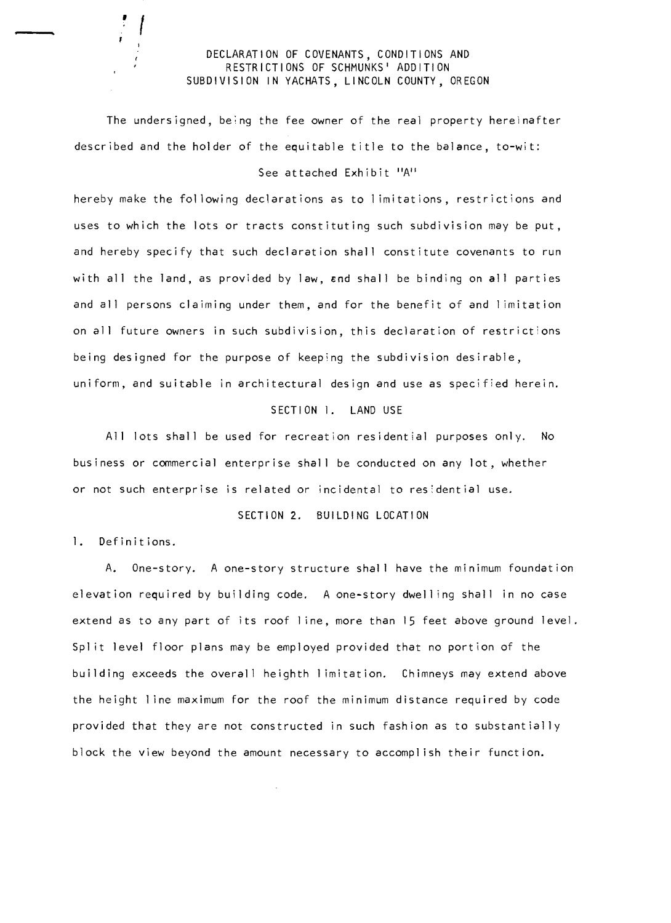### DECLARATION OF COVENANTS, CONDITIONS AND RESTRICTIONS OF SCHMUNKS' ADDITION SUBDIVISION IN YACHATS, LINCOLN COUNTY, OREGON

The undersigned, being the fee owner of the real property hereinafter described and the holder of the equitable title to the balance, to-wit:

# See attached Exhibit "A"

hereby make the fol lowing declarations as to 1imitations, restrictions and uses to which the lots or tracts constituting such subdivision may be put, and hereby specify that such declaration shall constitute covenants to run with all the land, as provided by law, end shall be binding on all parties and all persons claiming under them, and for the benefit of and 1imitation on all future owners in such subdivision, this declaration of restrictions being designed for the purpose of keeping the subdivision desirable, uniform, and suitable in architectural design and use as specified herein.

#### SECTION 1. LAND USE

All lots shall be used for recreation residential purposes only. No business or commercial enterprise shall be conducted on any lot, whether or not such enterprise is related or incidental to res:dential use.

# SECTION 2. BUILDING LOCATION

1. Definitions.

,

f

A. One-story. A one-story structure shal I have the minimum foundation elevation required by building code. A one-story dwelling shall in no case extend as to any part of its roof 1ine, more than 15 feet above ground level. Split level floor plans may be employed provided that no portion of the building exceeds the overall heighth I imitation. Chimneys may extend above the height 1ine maximum for the roof the minimum distance required by code provided that they are not constructed in such fashion as to substantially block the view beyond the amount necessary to accomplish their function.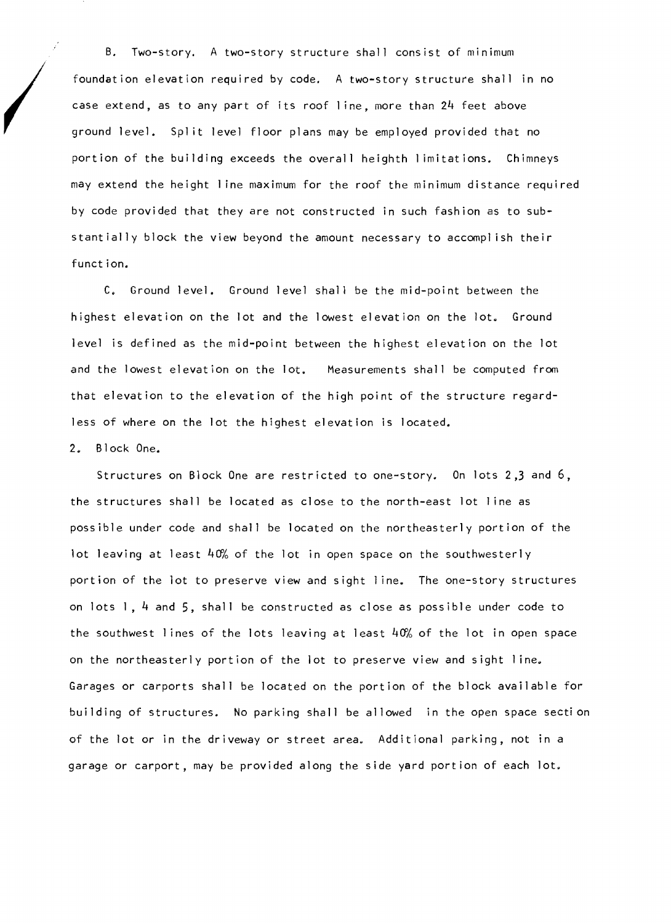B. Two-story. A two-story structure shall consist of minimum foundation elevation required by code. A two-story structure shall in no case extend, as to any part of its roof line, more than 24 feet above ground level. Split level floor plans may be employed provided that no portion of the building exceeds the overall heighth I imitations. Chimneys may extend the height I ine maximum for the roof the minimum distance required by code provided that they are not constructed in such fashion as to substantially block the view beyond the amount necessary to accompl ish their function.

C. Ground level. Ground level shall be the mid-point between the highest elevation on the lot and the lowest elevation on the lot. Ground level is defined as the mid-point between the highest elevation on the lot and the lowest elevation on the lot. Measurements shall be computed from that elevation to the elevation of the high point of the structure regardless of where on the lot the highest elevation is located.

## 2. Block One.

Structures on Block One are restricted to one-story. On lots 2,3 and 6, the structures shall be located as close to the north-east lot I ine as possible under code and shall be located on the northeasterly portion of the lot leaving at least  $40%$  of the lot in open space on the southwesterly portion of the lot to preserve view and sight I ine. The one-story structures on lots 1,4 and 5, shall be constructed as close as possible under code to the southwest lines of the lots leaving at least  $40%$  of the lot in open space on the northeasterly portion of the lot to preserve view and sight line. Garages or carports shall be located on the portion of the block available for building of structures. No parking shall be allowed in the open space secti on of the lot or in the driveway or street area. Additional parking, not in a garage or carport, may be provided along the side yard portion of each lot.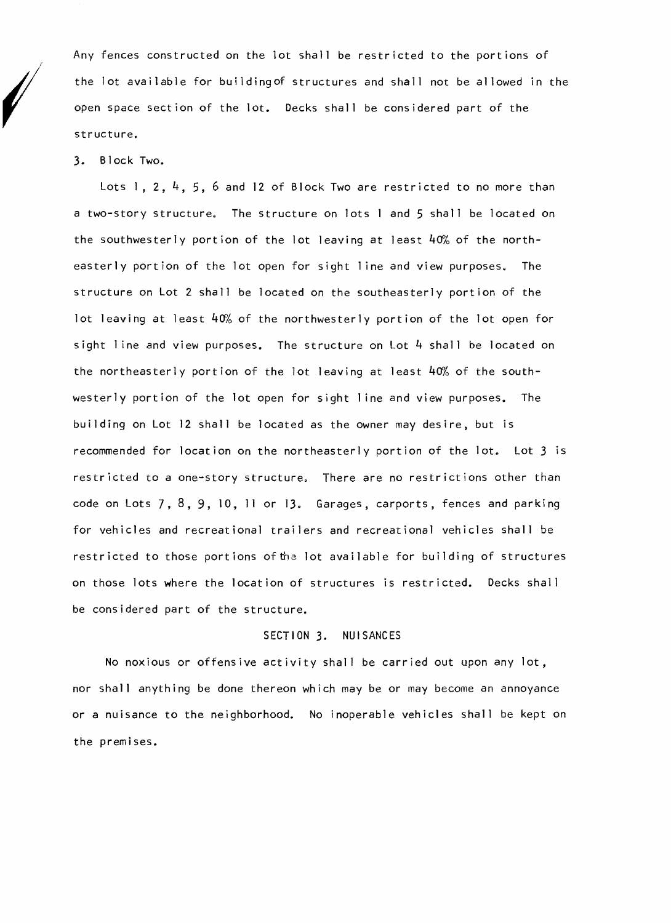Any fences constructed on the lot shall be restricted to the portions of the lot available for buildingof structures and shall not be allowed in the open space section of the lot. Decks shall be considered part of the structure.

3. Block Two.

Lots 1, 2, 4, 5, 6 and 12 of Block Two are restricted to no more than a two-story structure. The structure on lots I and 5 shall be located on the southwesterly portion of the lot leaving at least  $40%$  of the northeasterly portion of the lot open for sight I ine and view purposes. The structure on Lot 2 shall be located on the southeasterly portion of the lot leaving at least  $40%$  of the northwesterly portion of the lot open for sight line and view purposes. The structure on Lot 4 shall be located on the northeasterly portion of the lot leaving at least 40% of the southwesterly portion of the lot open for sight I ine and view purposes. The building on Lot 12 shall be located as the owner may desire, but is recommended for location on the northeasterly portion of the lot. Lot 3 is restricted to a one-story structure. There are no restrictions other than code on Lots 7,8,9,10, II or 13. Garages, carports, fences and parking for vehicles and recreational trailers and recreational vehicles shall be restricted to those portions of the lot available for building of structures on those lots where the location of structures is restricted. Decks shall be considered part of the structure.

# SECTION 3. NUISANCES

No noxious or offensive activity shall be carried out upon any lot, nor shall anything be done thereon which may be or may become an annoyance or a nuisance to the neighborhood. No inoperable vehicles shall be kept on the premises.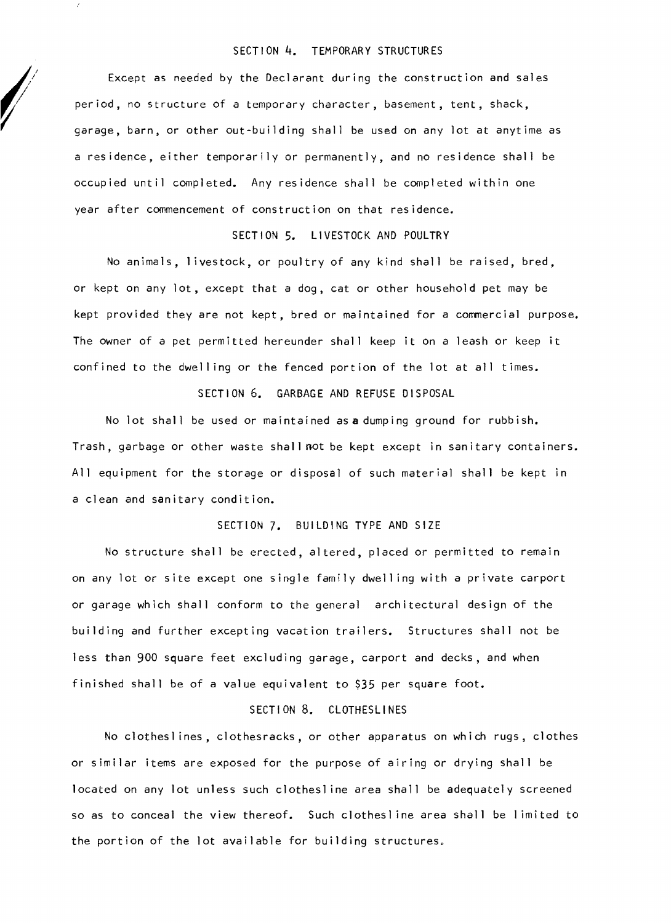#### SECTION **4.** TEMPORARY STRUCTURES

Except as needed by the Declarant during the construction and sales period, no structure of a temporary character, basement, tent, shack, garage, barn, or other out-building shall be used on any lot at anytime as a residence, either temporarily or permanently, and no residence shall be occupied until completed. Any residence shall be completed within one year after commencement of construction on that residence.

#### SECTION 5. LIVESTOCK AND POULTRY

No animals, I ivestock, or poultry of any kind shall be raised, bred, or kept on any lot, except that a dog, cat or other household pet may be kept provided they are not kept, bred or maintained for a commercial purpose. The owner of a pet permitted hereunder shall keep it on a leash or keep it confined to the dwell ing or the fenced portion of the lot at all times.

### SECTION 6. GARBAGE AND REFUSE DISPOSAL

No lot shall be used or maintained asa dumping ground for rubbish. Trash, garbage or other waste shall not be kept except in sanitary containers. All equipment for the storage or disposal of such material shall be kept in a clean and sanitary condition.

### SECTION 7. BUILDING TYPE AND SIZE

No structure shall be erected, altered, placed or permitted to remain on any lot or site except one single family dwell ing with a private carport or garage which shall conform to the general architectural design of the building and further excepting vacation trailers. Structures shall not be less than 900 square feet excluding garage, carport and decks, and when finished shall be of a value equivalent to \$35 per square foot.

### SECTION 8. CLOTHESLINES

No clothesl ines, clothesracks, or other apparatus on which rugs, clothes or similar items are exposed for the purpose of airing or drying shall be located on any lot unless such clothesl ine area shall be adequately screened so as to conceal the view thereof. Such clothesl ine area shall be I imited to the portion of the lot available for building structures.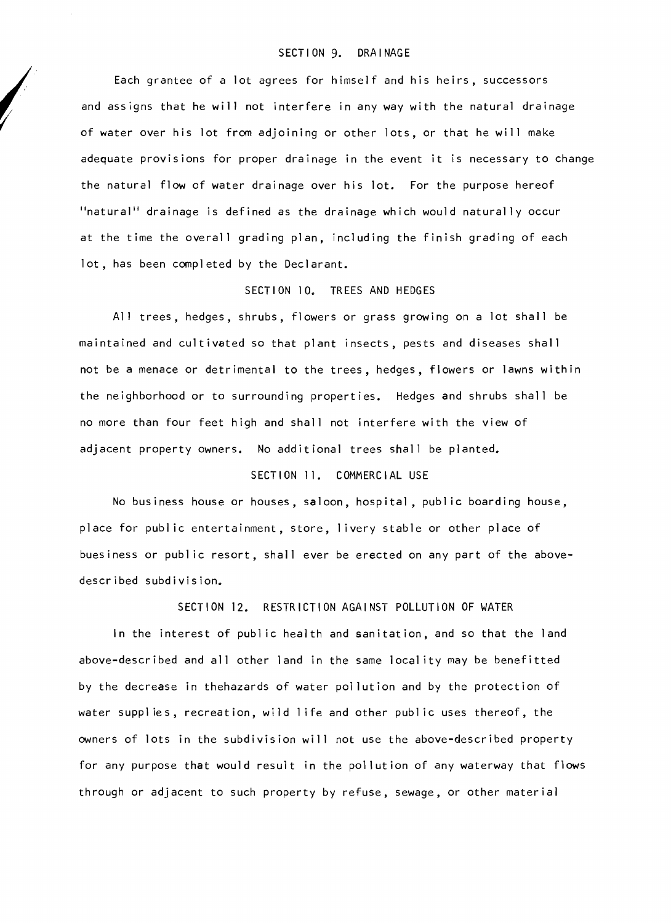#### SECTION 9. DRAINAGE

Each grantee of a lot agrees for himself and his heirs, successors and assigns that he will not interfere in any way with the natural drainage of water over his lot from adjoining or other lots, or that he will make adequate provisions for proper drainage in the event it is necessary to change the natural flow of water drainage over his lot. For the purpose hereof "natural" drainage is defined as the drainage which would naturally occur at the time the overall grading plan, including the finish grading of each lot, has been completed by the Declarant.

# SECTION 10. TREES AND HEDGES

All trees, hedges, shrubs, flowers or grass growing on a lot shall be maintained and cultivated so that plant insects, pests and diseases shall not be a menace or detrimental to the trees, hedges, flowers or lawns within the neighborhood or to surrounding properties. Hedges and shrubs shall be no more than four feet high and shall not interfere with the view of adjacent property owners. No additional trees shall be planted.

## SECTION 11. COMMERCIAL USE

No business house or houses, saloon, hospital, publ ic boarding house, place for public entertainment, store, livery stable or other place of buesiness or public resort, shall ever be erected on any part of the abovedescribed subdivision.

#### SECTION 12. RESTRICTION AGAINST POLLUTION OF WATER

In the interest of public health and sanitation, and so that the land above-described and all other land in the same local ity may be benefitted by the decrease in thehazards of water pollution and by the protection of water suppl ies, recreation, wild 1ife and other publ ic uses thereof, the owners of lots in the subdivision will not use the above-described property for any purpose that would result in the pollution of any waterway that flows through or adjacent to such property by refuse, sewage, or other material